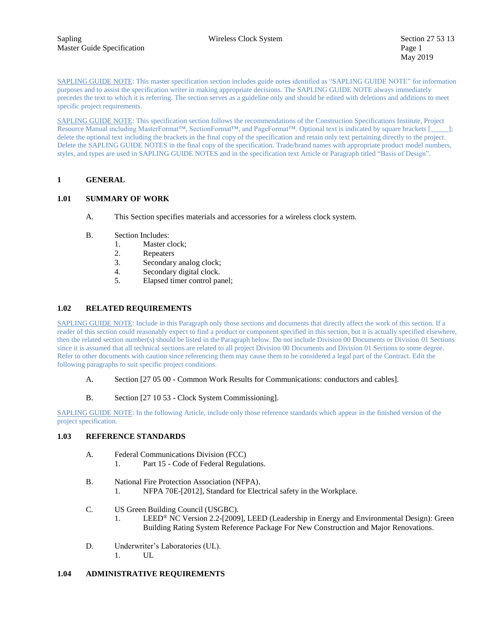SAPLING GUIDE NOTE: This master specification section includes guide notes identified as "SAPLING GUIDE NOTE" for information purposes and to assist the specification writer in making appropriate decisions. The SAPLING GUIDE NOTE always immediately precedes the text to which it is referring. The section serves as a guideline only and should be edited with deletions and additions to meet specific project requirements.

SAPLING GUIDE NOTE: This specification section follows the recommendations of the Construction Specifications Institute, Project Resource Manual including MasterFormat™, SectionFormat™, and PageFormat™. Optional text is indicated by square brackets [ delete the optional text including the brackets in the final copy of the specification and retain only text pertaining directly to the project. Delete the SAPLING GUIDE NOTES in the final copy of the specification. Trade/brand names with appropriate product model numbers, styles, and types are used in SAPLING GUIDE NOTES and in the specification text Article or Paragraph titled "Basis of Design".

# **1 GENERAL**

# **1.01 SUMMARY OF WORK**

- A. This Section specifies materials and accessories for a wireless clock system.
- B. Section Includes:
	- 1. Master clock;
	- 2. Repeaters
	- 3. Secondary analog clock;
	- 4. Secondary digital clock.
	- 5. Elapsed timer control panel;

# **1.02 RELATED REQUIREMENTS**

SAPLING GUIDE NOTE: Include in this Paragraph only those sections and documents that directly affect the work of this section. If a reader of this section could reasonably expect to find a product or component specified in this section, but it is actually specified elsewhere, then the related section number(s) should be listed in the Paragraph below. Do not include Division 00 Documents or Division 01 Sections since it is assumed that all technical sections are related to all project Division 00 Documents and Division 01 Sections to some degree. Refer to other documents with caution since referencing them may cause them to be considered a legal part of the Contract. Edit the following paragraphs to suit specific project conditions.

- A. Section [27 05 00 Common Work Results for Communications: conductors and cables].
- B. Section [27 10 53 Clock System Commissioning].

SAPLING GUIDE NOTE: In the following Article, include only those reference standards which appear in the finished version of the project specification.

#### **1.03 REFERENCE STANDARDS**

- A. Federal Communications Division (FCC)
	- 1. Part 15 Code of Federal Regulations.
- B. National Fire Protection Association (NFPA).
	- 1. NFPA 70E-[2012], Standard for Electrical safety in the Workplace.
- C. US Green Building Council (USGBC).
	- 1. LEED® NC Version 2.2-[2009], LEED (Leadership in Energy and Environmental Design): Green Building Rating System Reference Package For New Construction and Major Renovations.
- D. Underwriter's Laboratories (UL). 1. UL

# **1.04 ADMINISTRATIVE REQUIREMENTS**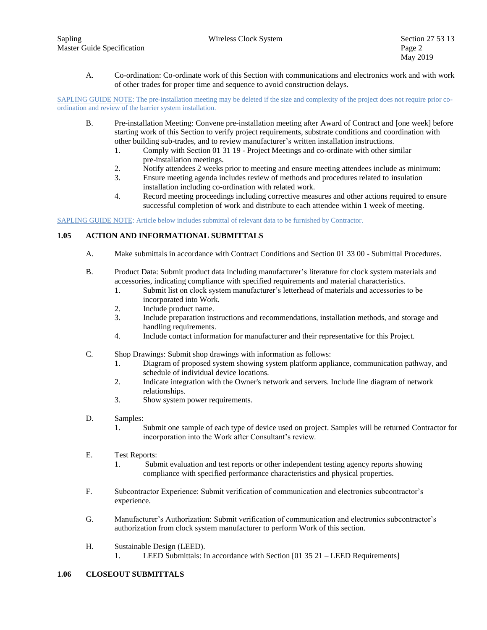A. Co-ordination: Co-ordinate work of this Section with communications and electronics work and with work of other trades for proper time and sequence to avoid construction delays.

SAPLING GUIDE NOTE: The pre-installation meeting may be deleted if the size and complexity of the project does not require prior coordination and review of the barrier system installation.

- B. Pre-installation Meeting: Convene pre-installation meeting after Award of Contract and [one week] before starting work of this Section to verify project requirements, substrate conditions and coordination with other building sub-trades, and to review manufacturer's written installation instructions.
	- 1. Comply with Section 01 31 19 Project Meetings and co-ordinate with other similar pre-installation meetings.
	- 2. Notify attendees 2 weeks prior to meeting and ensure meeting attendees include as minimum:
	- 3. Ensure meeting agenda includes review of methods and procedures related to insulation installation including co-ordination with related work.
	- 4. Record meeting proceedings including corrective measures and other actions required to ensure successful completion of work and distribute to each attendee within 1 week of meeting.

SAPLING GUIDE NOTE: Article below includes submittal of relevant data to be furnished by Contractor.

# **1.05 ACTION AND INFORMATIONAL SUBMITTALS**

- A. Make submittals in accordance with Contract Conditions and Section 01 33 00 Submittal Procedures.
- B. Product Data: Submit product data including manufacturer's literature for clock system materials and accessories, indicating compliance with specified requirements and material characteristics.
	- 1. Submit list on clock system manufacturer's letterhead of materials and accessories to be incorporated into Work.
	- 2. Include product name.
	- 3. Include preparation instructions and recommendations, installation methods, and storage and handling requirements.
	- 4. Include contact information for manufacturer and their representative for this Project.
- C. Shop Drawings: Submit shop drawings with information as follows:
	- 1. Diagram of proposed system showing system platform appliance, communication pathway, and schedule of individual device locations.
	- 2. Indicate integration with the Owner's network and servers. Include line diagram of network relationships.
	- 3. Show system power requirements.
- D. Samples:
	- 1. Submit one sample of each type of device used on project. Samples will be returned Contractor for incorporation into the Work after Consultant's review.
- E. Test Reports:
	- 1. Submit evaluation and test reports or other independent testing agency reports showing compliance with specified performance characteristics and physical properties.
- F. Subcontractor Experience: Submit verification of communication and electronics subcontractor's experience.
- G. Manufacturer's Authorization: Submit verification of communication and electronics subcontractor's authorization from clock system manufacturer to perform Work of this section.
- H. Sustainable Design (LEED). 1. LEED Submittals: In accordance with Section [01 35 21 – LEED Requirements]

#### **1.06 CLOSEOUT SUBMITTALS**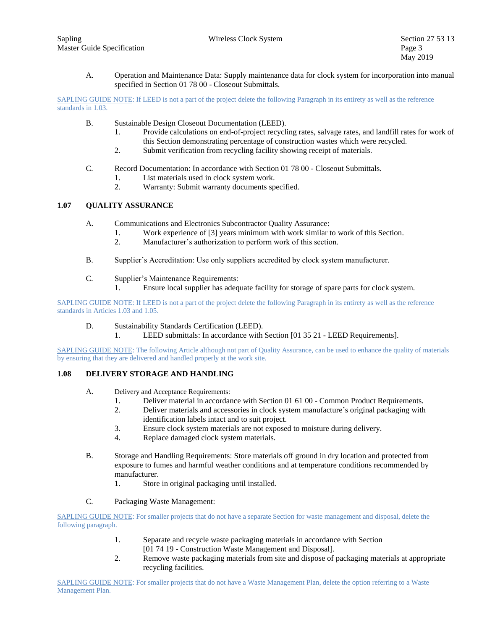A. Operation and Maintenance Data: Supply maintenance data for clock system for incorporation into manual specified in Section 01 78 00 - Closeout Submittals.

SAPLING GUIDE NOTE: If LEED is not a part of the project delete the following Paragraph in its entirety as well as the reference standards in 1.03.

- B. Sustainable Design Closeout Documentation (LEED).
	- 1. Provide calculations on end-of-project recycling rates, salvage rates, and landfill rates for work of this Section demonstrating percentage of construction wastes which were recycled.
	- 2. Submit verification from recycling facility showing receipt of materials.
- C. Record Documentation: In accordance with Section 01 78 00 Closeout Submittals.
	- 1. List materials used in clock system work.
	- 2. Warranty: Submit warranty documents specified.

# **1.07 QUALITY ASSURANCE**

- A. Communications and Electronics Subcontractor Quality Assurance:
	- 1. Work experience of [3] years minimum with work similar to work of this Section.
		- 2. Manufacturer's authorization to perform work of this section.
- B. Supplier's Accreditation: Use only suppliers accredited by clock system manufacturer.
- C. Supplier's Maintenance Requirements:
	- 1. Ensure local supplier has adequate facility for storage of spare parts for clock system.

SAPLING GUIDE NOTE: If LEED is not a part of the project delete the following Paragraph in its entirety as well as the reference standards in Articles 1.03 and 1.05.

- D. Sustainability Standards Certification (LEED).
	- 1. LEED submittals: In accordance with Section [01 35 21 LEED Requirements].

SAPLING GUIDE NOTE: The following Article although not part of Quality Assurance, can be used to enhance the quality of materials by ensuring that they are delivered and handled properly at the work site.

# **1.08 DELIVERY STORAGE AND HANDLING**

- A. Delivery and Acceptance Requirements:
	- 1. Deliver material in accordance with Section 01 61 00 Common Product Requirements.
	- 2. Deliver materials and accessories in clock system manufacture's original packaging with identification labels intact and to suit project.
	- 3. Ensure clock system materials are not exposed to moisture during delivery.
	- 4. Replace damaged clock system materials.
- B. Storage and Handling Requirements: Store materials off ground in dry location and protected from exposure to fumes and harmful weather conditions and at temperature conditions recommended by manufacturer.
	- 1. Store in original packaging until installed.
- C. Packaging Waste Management:

SAPLING GUIDE NOTE: For smaller projects that do not have a separate Section for waste management and disposal, delete the following paragraph.

- 1. Separate and recycle waste packaging materials in accordance with Section [01 74 19 - Construction Waste Management and Disposal].
- 2. Remove waste packaging materials from site and dispose of packaging materials at appropriate recycling facilities.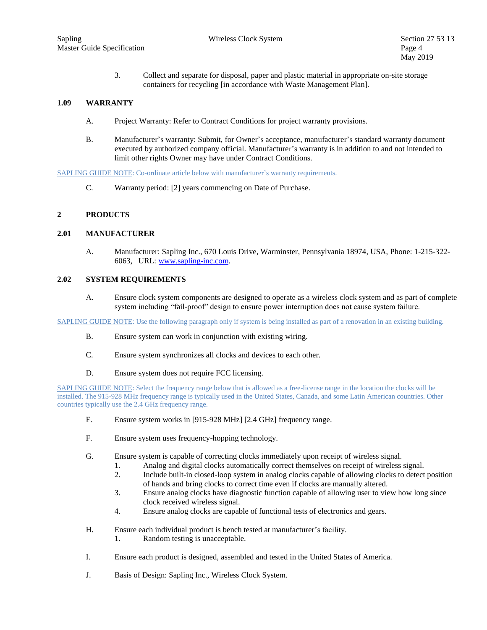3. Collect and separate for disposal, paper and plastic material in appropriate on-site storage containers for recycling [in accordance with Waste Management Plan].

## **1.09 WARRANTY**

- A. Project Warranty: Refer to Contract Conditions for project warranty provisions.
- B. Manufacturer's warranty: Submit, for Owner's acceptance, manufacturer's standard warranty document executed by authorized company official. Manufacturer's warranty is in addition to and not intended to limit other rights Owner may have under Contract Conditions.

SAPLING GUIDE NOTE: Co-ordinate article below with manufacturer's warranty requirements.

C. Warranty period: [2] years commencing on Date of Purchase.

## **2 PRODUCTS**

## **2.01 MANUFACTURER**

A. Manufacturer: Sapling Inc., 670 Louis Drive, Warminster, Pennsylvania 18974, USA, Phone: 1-215-322- 6063, URL: [www.sapling-inc.com.](http://www.sapling-inc.com/)

#### **2.02 SYSTEM REQUIREMENTS**

A. Ensure clock system components are designed to operate as a wireless clock system and as part of complete system including "fail-proof" design to ensure power interruption does not cause system failure.

SAPLING GUIDE NOTE: Use the following paragraph only if system is being installed as part of a renovation in an existing building.

- B. Ensure system can work in conjunction with existing wiring.
- C. Ensure system synchronizes all clocks and devices to each other.
- D. Ensure system does not require FCC licensing.

SAPLING GUIDE NOTE: Select the frequency range below that is allowed as a free-license range in the location the clocks will be installed. The 915-928 MHz frequency range is typically used in the United States, Canada, and some Latin American countries. Other countries typically use the 2.4 GHz frequency range.

- E. Ensure system works in [915-928 MHz] [2.4 GHz] frequency range.
- F. Ensure system uses frequency-hopping technology.
- G. Ensure system is capable of correcting clocks immediately upon receipt of wireless signal.
	- 1. Analog and digital clocks automatically correct themselves on receipt of wireless signal.
	- 2. Include built-in closed-loop system in analog clocks capable of allowing clocks to detect position of hands and bring clocks to correct time even if clocks are manually altered.
	- 3. Ensure analog clocks have diagnostic function capable of allowing user to view how long since clock received wireless signal.
	- 4. Ensure analog clocks are capable of functional tests of electronics and gears.
- H. Ensure each individual product is bench tested at manufacturer's facility.
	- 1. Random testing is unacceptable.
- I. Ensure each product is designed, assembled and tested in the United States of America.
- J. Basis of Design: Sapling Inc., Wireless Clock System.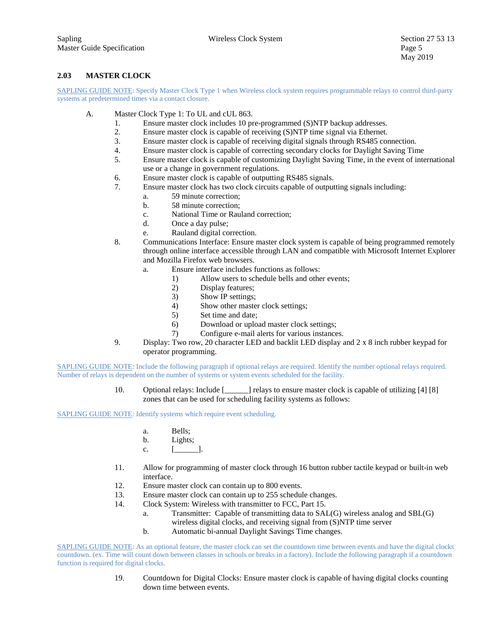# **2.03 MASTER CLOCK**

SAPLING GUIDE NOTE: Specify Master Clock Type 1 when Wireless clock system requires programmable relays to control third-party systems at predetermined times via a contact closure.

- A. Master Clock Type 1: To UL and cUL 863.
	- 1. Ensure master clock includes 10 pre-programmed (S)NTP backup addresses.
	- 2. Ensure master clock is capable of receiving (S)NTP time signal via Ethernet.
	- 3. Ensure master clock is capable of receiving digital signals through RS485 connection.
	- 4. Ensure master clock is capable of correcting secondary clocks for Daylight Saving Time
	- 5. Ensure master clock is capable of customizing Daylight Saving Time, in the event of international use or a change in government regulations.
	- 6. Ensure master clock is capable of outputting RS485 signals.
	- 7. Ensure master clock has two clock circuits capable of outputting signals including:
		- a. 59 minute correction;
		- b. 58 minute correction;
		- c. National Time or Rauland correction;
		- d. Once a day pulse;
		- e. Rauland digital correction.
	- 8. Communications Interface: Ensure master clock system is capable of being programmed remotely through online interface accessible through LAN and compatible with Microsoft Internet Explorer and Mozilla Firefox web browsers.
		- a. Ensure interface includes functions as follows:
			- 1) Allow users to schedule bells and other events;
			- 2) Display features;
			- 3) Show IP settings;
			- 4) Show other master clock settings;
			- 5) Set time and date;
			- 6) Download or upload master clock settings;
			- 7) Configure e-mail alerts for various instances.
	- 9. Display: Two row, 20 character LED and backlit LED display and 2 x 8 inch rubber keypad for operator programming.

SAPLING GUIDE NOTE: Include the following paragraph if optional relays are required. Identify the number optional relays required. Number of relays is dependent on the number of systems or system events scheduled for the facility.

> 10. Optional relays: Include [\_\_\_\_\_\_] relays to ensure master clock is capable of utilizing [4] [8] zones that can be used for scheduling facility systems as follows:

SAPLING GUIDE NOTE: Identify systems which require event scheduling.

- a. Bells;
- b. Lights;
- c. [ ].
- 11. Allow for programming of master clock through 16 button rubber tactile keypad or built-in web interface.
- 12. Ensure master clock can contain up to 800 events.
- 13. Ensure master clock can contain up to 255 schedule changes.
- 14. Clock System: Wireless with transmitter to FCC, Part 15.
	- a. Transmitter: Capable of transmitting data to SAL(G) wireless analog and SBL(G) wireless digital clocks, and receiving signal from (S)NTP time server
	- b. Automatic bi-annual Daylight Savings Time changes.

SAPLING GUIDE NOTE: As an optional feature, the master clock can set the countdown time between events and have the digital clocks countdown. (ex. Time will count down between classes in schools or breaks in a factory). Include the following paragraph if a countdown function is required for digital clocks.

> 19. Countdown for Digital Clocks: Ensure master clock is capable of having digital clocks counting down time between events.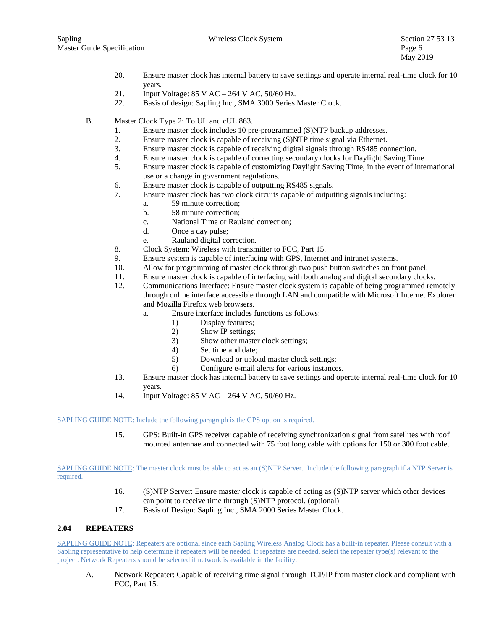- 20. Ensure master clock has internal battery to save settings and operate internal real-time clock for 10 years.
- 21. Input Voltage: 85 V AC 264 V AC, 50/60 Hz.
- 22. Basis of design: Sapling Inc., SMA 3000 Series Master Clock.
- B. Master Clock Type 2: To UL and cUL 863.
	- 1. Ensure master clock includes 10 pre-programmed (S)NTP backup addresses.
	- 2. Ensure master clock is capable of receiving (S)NTP time signal via Ethernet.
	- 3. Ensure master clock is capable of receiving digital signals through RS485 connection.
	- 4. Ensure master clock is capable of correcting secondary clocks for Daylight Saving Time
	- 5. Ensure master clock is capable of customizing Daylight Saving Time, in the event of international use or a change in government regulations.
	- 6. Ensure master clock is capable of outputting RS485 signals.
	- 7. Ensure master clock has two clock circuits capable of outputting signals including:
		- a. 59 minute correction;
		- b. 58 minute correction;
		- c. National Time or Rauland correction;
		- d. Once a day pulse;
		- e. Rauland digital correction.
	- 8. Clock System: Wireless with transmitter to FCC, Part 15.
	- 9. Ensure system is capable of interfacing with GPS, Internet and intranet systems.
	- 10. Allow for programming of master clock through two push button switches on front panel.
	- 11. Ensure master clock is capable of interfacing with both analog and digital secondary clocks.
	- 12. Communications Interface: Ensure master clock system is capable of being programmed remotely through online interface accessible through LAN and compatible with Microsoft Internet Explorer and Mozilla Firefox web browsers.
		- a. Ensure interface includes functions as follows:
			- 1) Display features;
			- 2) Show IP settings;
			- 3) Show other master clock settings;
			- 4) Set time and date;
			- 5) Download or upload master clock settings;
			- 6) Configure e-mail alerts for various instances.
	- 13. Ensure master clock has internal battery to save settings and operate internal real-time clock for 10 years.
	- 14. Input Voltage: 85 V AC 264 V AC, 50/60 Hz.

#### SAPLING GUIDE NOTE: Include the following paragraph is the GPS option is required.

15. GPS: Built-in GPS receiver capable of receiving synchronization signal from satellites with roof mounted antennae and connected with 75 foot long cable with options for 150 or 300 foot cable.

SAPLING GUIDE NOTE: The master clock must be able to act as an (S)NTP Server. Include the following paragraph if a NTP Server is required.

- 16. (S)NTP Server: Ensure master clock is capable of acting as (S)NTP server which other devices can point to receive time through (S)NTP protocol. (optional)
- 17. Basis of Design: Sapling Inc., SMA 2000 Series Master Clock.

### **2.04 REPEATERS**

SAPLING GUIDE NOTE: Repeaters are optional since each Sapling Wireless Analog Clock has a built-in repeater. Please consult with a Sapling representative to help determine if repeaters will be needed. If repeaters are needed, select the repeater type(s) relevant to the project. Network Repeaters should be selected if network is available in the facility.

A. Network Repeater: Capable of receiving time signal through TCP/IP from master clock and compliant with FCC, Part 15.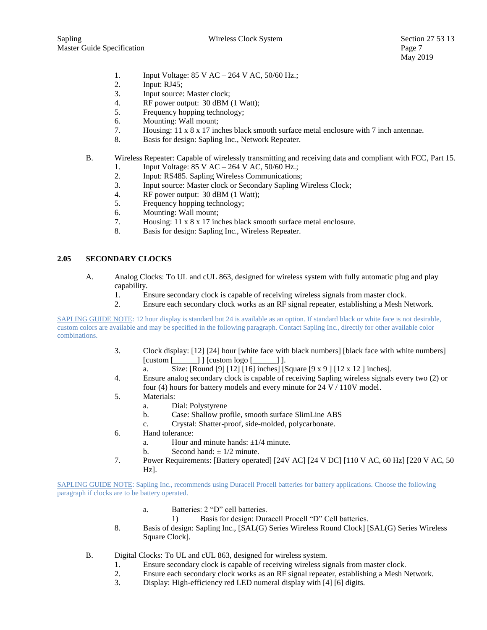- 1. Input Voltage: 85 V AC 264 V AC, 50/60 Hz.;
- 2. Input: RJ45;
- 3. Input source: Master clock;
- 4. RF power output: 30 dBM (1 Watt);
- 5. Frequency hopping technology;
- 6. Mounting: Wall mount;
- 7. Housing: 11 x 8 x 17 inches black smooth surface metal enclosure with 7 inch antennae.
- 8. Basis for design: Sapling Inc., Network Repeater.
- B. Wireless Repeater: Capable of wirelessly transmitting and receiving data and compliant with FCC, Part 15.
	- 1. Input Voltage: 85 V AC 264 V AC, 50/60 Hz.;
	- 2. Input: RS485. Sapling Wireless Communications;
	- 3. Input source: Master clock or Secondary Sapling Wireless Clock;
	- 4. RF power output: 30 dBM (1 Watt);
	- 5. Frequency hopping technology;
	- 6. Mounting: Wall mount;
	- 7. Housing: 11 x 8 x 17 inches black smooth surface metal enclosure.
	- 8. Basis for design: Sapling Inc., Wireless Repeater.

# **2.05 SECONDARY CLOCKS**

- A. Analog Clocks: To UL and cUL 863, designed for wireless system with fully automatic plug and play capability.
	- 1. Ensure secondary clock is capable of receiving wireless signals from master clock.
	- 2. Ensure each secondary clock works as an RF signal repeater, establishing a Mesh Network.

SAPLING GUIDE NOTE: 12 hour display is standard but 24 is available as an option. If standard black or white face is not desirable, custom colors are available and may be specified in the following paragraph. Contact Sapling Inc., directly for other available color combinations.

- 3. Clock display: [12] [24] hour [white face with black numbers] [black face with white numbers]  $[{\rm custom} \, {\sf [}} \, {\sf [}} \, {\sf [} \, {\sf [} \, {\sf [} \, {\sf [} \, {\sf [} \, {\sf [} \, {\sf [} \, {\sf [} \, {\sf [} \, {\sf [} \, {\sf [} \, {\sf [} \, {\sf [} \, {\sf [} \, {\sf [} \, {\sf [} \, {\sf [} \, {\sf [} \, {\sf [} \, {\sf [} \, {\sf [} \, {\sf [} \, {\sf [} \, {\sf [} \, {\sf [} \, {\sf [} \, {\sf [} \, {\sf [} \, {\sf [} \, {\sf [} \, {\sf [} \, {\sf [} \, {\sf [} \, {\sf [$ 
	- a. Size: [Round [9] [12] [16] inches] [Square [9 x 9 ] [12 x 12 ] inches].
- 4. Ensure analog secondary clock is capable of receiving Sapling wireless signals every two (2) or four (4) hours for battery models and every minute for 24 V / 110V model.
- 5. Materials:
	- a. Dial: Polystyrene
	- b. Case: Shallow profile, smooth surface SlimLine ABS
	- c. Crystal: Shatter-proof, side-molded, polycarbonate.
- 6. Hand tolerance:
	- a. Hour and minute hands:  $\pm 1/4$  minute.
	- b. Second hand:  $\pm$  1/2 minute.
- 7. Power Requirements: [Battery operated] [24V AC] [24 V DC] [110 V AC, 60 Hz] [220 V AC, 50 Hz].

SAPLING GUIDE NOTE: Sapling Inc., recommends using Duracell Procell batteries for battery applications. Choose the following paragraph if clocks are to be battery operated.

- a. Batteries: 2 "D" cell batteries.
	- 1) Basis for design: Duracell Procell "D" Cell batteries.
- 8. Basis of design: Sapling Inc., [SAL(G) Series Wireless Round Clock] [SAL(G) Series Wireless Square Clock].
- B. Digital Clocks: To UL and cUL 863, designed for wireless system.
	- 1. Ensure secondary clock is capable of receiving wireless signals from master clock.
	- 2. Ensure each secondary clock works as an RF signal repeater, establishing a Mesh Network.
	- 3. Display: High-efficiency red LED numeral display with [4] [6] digits.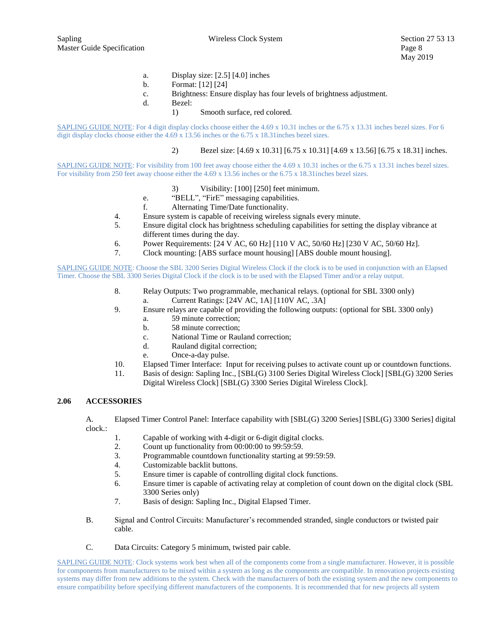- a. Display size: [2.5] [4.0] inches
- b. Format: [12] [24]
- c. Brightness: Ensure display has four levels of brightness adjustment.
- d. Bezel:
	- 1) Smooth surface, red colored.

SAPLING GUIDE NOTE: For 4 digit display clocks choose either the 4.69 x 10.31 inches or the 6.75 x 13.31 inches bezel sizes. For 6 digit display clocks choose either the 4.69 x 13.56 inches or the 6.75 x 18.31inches bezel sizes.

## 2) Bezel size: [4.69 x 10.31] [6.75 x 10.31] [4.69 x 13.56] [6.75 x 18.31] inches.

SAPLING GUIDE NOTE: For visibility from 100 feet away choose either the 4.69 x 10.31 inches or the 6.75 x 13.31 inches bezel sizes. For visibility from 250 feet away choose either the 4.69 x 13.56 inches or the 6.75 x 18.31inches bezel sizes.

- 3) Visibility: [100] [250] feet minimum.
- e. "BELL", "FirE" messaging capabilities.
- f. Alternating Time/Date functionality.
- 4. Ensure system is capable of receiving wireless signals every minute.
- 5. Ensure digital clock has brightness scheduling capabilities for setting the display vibrance at different times during the day.
- 6. Power Requirements: [24 V AC, 60 Hz] [110 V AC, 50/60 Hz] [230 V AC, 50/60 Hz].
- 7. Clock mounting: [ABS surface mount housing] [ABS double mount housing].

SAPLING GUIDE NOTE: Choose the SBL 3200 Series Digital Wireless Clock if the clock is to be used in conjunction with an Elapsed Timer. Choose the SBL 3300 Series Digital Clock if the clock is to be used with the Elapsed Timer and/or a relay output.

- 8. Relay Outputs: Two programmable, mechanical relays. (optional for SBL 3300 only) a. Current Ratings: [24V AC, 1A] [110V AC, .3A]
- 9. Ensure relays are capable of providing the following outputs: (optional for SBL 3300 only)
	- a. 59 minute correction;
	- b. 58 minute correction;
	- c. National Time or Rauland correction;
	- d. Rauland digital correction;
	- e. Once-a-day pulse.
- 10. Elapsed Timer Interface: Input for receiving pulses to activate count up or countdown functions.
- 11. Basis of design: Sapling Inc., [SBL(G) 3100 Series Digital Wireless Clock] [SBL(G) 3200 Series Digital Wireless Clock] [SBL(G) 3300 Series Digital Wireless Clock].

#### **2.06 ACCESSORIES**

A. Elapsed Timer Control Panel: Interface capability with [SBL(G) 3200 Series] [SBL(G) 3300 Series] digital clock.:

- 1. Capable of working with 4-digit or 6-digit digital clocks.
- 2. Count up functionality from 00:00:00 to 99:59:59.
- 3. Programmable countdown functionality starting at 99:59:59.
- 4. Customizable backlit buttons.
- 5. Ensure timer is capable of controlling digital clock functions.
- 6. Ensure timer is capable of activating relay at completion of count down on the digital clock (SBL 3300 Series only)
- 7. Basis of design: Sapling Inc., Digital Elapsed Timer.
- B. Signal and Control Circuits: Manufacturer's recommended stranded, single conductors or twisted pair cable.
- C. Data Circuits: Category 5 minimum, twisted pair cable.

SAPLING GUIDE NOTE: Clock systems work best when all of the components come from a single manufacturer. However, it is possible for components from manufacturers to be mixed within a system as long as the components are compatible. In renovation projects existing systems may differ from new additions to the system. Check with the manufacturers of both the existing system and the new components to ensure compatibility before specifying different manufacturers of the components. It is recommended that for new projects all system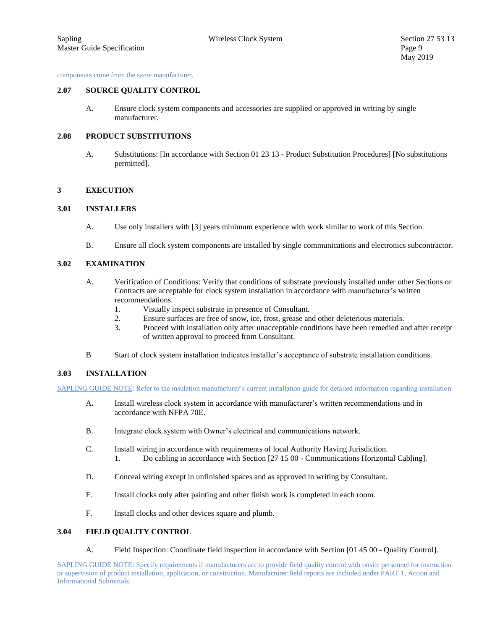components come from the same manufacturer.

#### **2.07 SOURCE QUALITY CONTROL**

A. Ensure clock system components and accessories are supplied or approved in writing by single manufacturer.

# **2.08 PRODUCT SUBSTITUTIONS**

A. Substitutions: [In accordance with Section 01 23 13 - Product Substitution Procedures] [No substitutions permitted].

#### **3 EXECUTION**

#### **3.01 INSTALLERS**

- A. Use only installers with [3] years minimum experience with work similar to work of this Section.
- B. Ensure all clock system components are installed by single communications and electronics subcontractor.

## **3.02 EXAMINATION**

- A. Verification of Conditions: Verify that conditions of substrate previously installed under other Sections or Contracts are acceptable for clock system installation in accordance with manufacturer's written recommendations.
	- 1. Visually inspect substrate in presence of Consultant.
	- 2. Ensure surfaces are free of snow, ice, frost, grease and other deleterious materials.
	- 3. Proceed with installation only after unacceptable conditions have been remedied and after receipt of written approval to proceed from Consultant.
- B Start of clock system installation indicates installer's acceptance of substrate installation conditions.

### **3.03 INSTALLATION**

SAPLING GUIDE NOTE: Refer to the insulation manufacturer's current installation guide for detailed information regarding installation.

- A. Install wireless clock system in accordance with manufacturer's written recommendations and in accordance with NFPA 70E.
- B. Integrate clock system with Owner's electrical and communications network.
- C. Install wiring in accordance with requirements of local Authority Having Jurisdiction. 1. Do cabling in accordance with Section [27 15 00 - Communications Horizontal Cabling].
- D. Conceal wiring except in unfinished spaces and as approved in writing by Consultant.
- E. Install clocks only after painting and other finish work is completed in each room.
- F. Install clocks and other devices square and plumb.

# **3.04 FIELD QUALITY CONTROL**

A. Field Inspection: Coordinate field inspection in accordance with Section [01 45 00 - Quality Control].

SAPLING GUIDE NOTE: Specify requirements if manufacturers are to provide field quality control with onsite personnel for instruction or supervision of product installation, application, or construction. Manufacturer field reports are included under PART 1, Action and Informational Submittals.